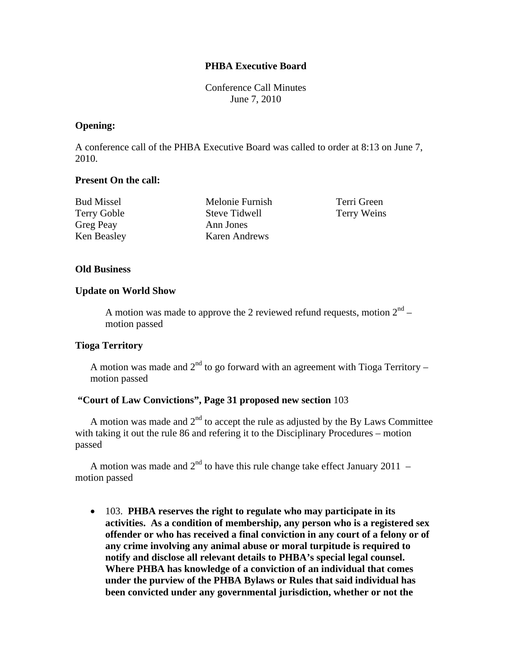# **PHBA Executive Board**

Conference Call Minutes June 7, 2010

### **Opening:**

A conference call of the PHBA Executive Board was called to order at 8:13 on June 7, 2010.

### **Present On the call:**

| <b>Bud Missel</b>  | Melonie Furnish |
|--------------------|-----------------|
| <b>Terry Goble</b> | Steve Tidwell   |
| <b>Greg Peay</b>   | Ann Jones       |
| Ken Beasley        | Karen Andrews   |

Terri Green Terry Weins

# **Old Business**

### **Update on World Show**

A motion was made to approve the 2 reviewed refund requests, motion  $2<sup>nd</sup>$  – motion passed

# **Tioga Territory**

A motion was made and  $2<sup>nd</sup>$  to go forward with an agreement with Tioga Territory – motion passed

# **"Court of Law Convictions", Page 31 proposed new section** 103

A motion was made and  $2<sup>nd</sup>$  to accept the rule as adjusted by the By Laws Committee with taking it out the rule 86 and refering it to the Disciplinary Procedures – motion passed

A motion was made and  $2<sup>nd</sup>$  to have this rule change take effect January 2011 – motion passed

 103. **PHBA reserves the right to regulate who may participate in its activities. As a condition of membership, any person who is a registered sex offender or who has received a final conviction in any court of a felony or of any crime involving any animal abuse or moral turpitude is required to notify and disclose all relevant details to PHBA's special legal counsel. Where PHBA has knowledge of a conviction of an individual that comes under the purview of the PHBA Bylaws or Rules that said individual has been convicted under any governmental jurisdiction, whether or not the**